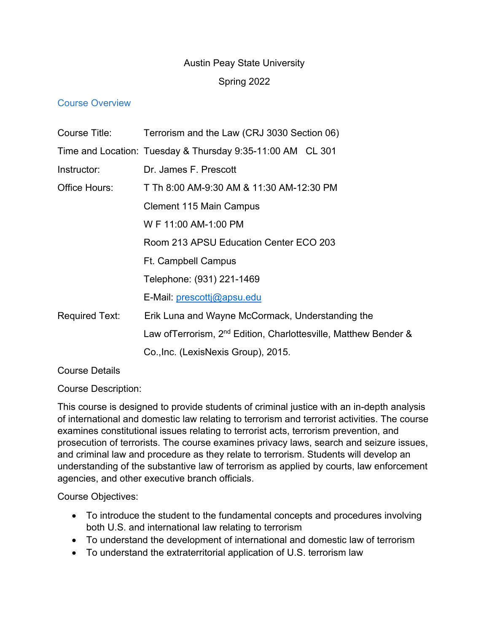# Austin Peay State University

# Spring 2022

## Course Overview

| Course Title:         | Terrorism and the Law (CRJ 3030 Section 06)                                  |
|-----------------------|------------------------------------------------------------------------------|
|                       | Time and Location: Tuesday & Thursday 9:35-11:00 AM CL 301                   |
| Instructor:           | Dr. James F. Prescott                                                        |
| Office Hours:         | T Th 8:00 AM-9:30 AM & 11:30 AM-12:30 PM                                     |
|                       | <b>Clement 115 Main Campus</b>                                               |
|                       | W F 11:00 AM-1:00 PM                                                         |
|                       | Room 213 APSU Education Center ECO 203                                       |
|                       | Ft. Campbell Campus                                                          |
|                       | Telephone: (931) 221-1469                                                    |
|                       | E-Mail: prescottj@apsu.edu                                                   |
| <b>Required Text:</b> | Erik Luna and Wayne McCormack, Understanding the                             |
|                       | Law of Terrorism, 2 <sup>nd</sup> Edition, Charlottesville, Matthew Bender & |
|                       | Co., Inc. (LexisNexis Group), 2015.                                          |

# Course Details

Course Description:

This course is designed to provide students of criminal justice with an in-depth analysis of international and domestic law relating to terrorism and terrorist activities. The course examines constitutional issues relating to terrorist acts, terrorism prevention, and prosecution of terrorists. The course examines privacy laws, search and seizure issues, and criminal law and procedure as they relate to terrorism. Students will develop an understanding of the substantive law of terrorism as applied by courts, law enforcement agencies, and other executive branch officials.

Course Objectives:

- To introduce the student to the fundamental concepts and procedures involving both U.S. and international law relating to terrorism
- To understand the development of international and domestic law of terrorism
- To understand the extraterritorial application of U.S. terrorism law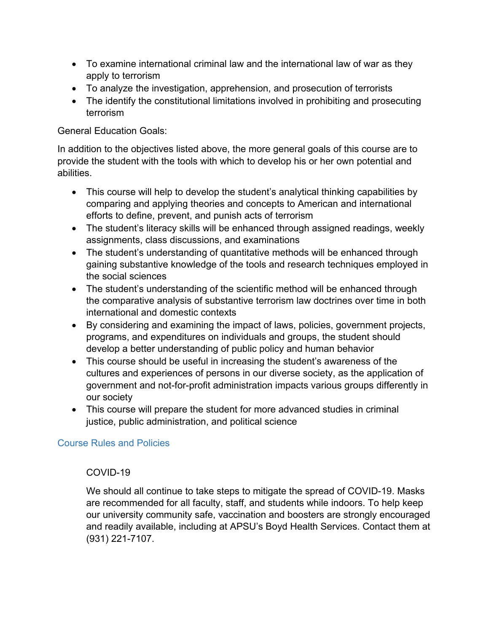- To examine international criminal law and the international law of war as they apply to terrorism
- To analyze the investigation, apprehension, and prosecution of terrorists
- The identify the constitutional limitations involved in prohibiting and prosecuting terrorism

# General Education Goals:

In addition to the objectives listed above, the more general goals of this course are to provide the student with the tools with which to develop his or her own potential and abilities.

- This course will help to develop the student's analytical thinking capabilities by comparing and applying theories and concepts to American and international efforts to define, prevent, and punish acts of terrorism
- The student's literacy skills will be enhanced through assigned readings, weekly assignments, class discussions, and examinations
- The student's understanding of quantitative methods will be enhanced through gaining substantive knowledge of the tools and research techniques employed in the social sciences
- The student's understanding of the scientific method will be enhanced through the comparative analysis of substantive terrorism law doctrines over time in both international and domestic contexts
- By considering and examining the impact of laws, policies, government projects, programs, and expenditures on individuals and groups, the student should develop a better understanding of public policy and human behavior
- This course should be useful in increasing the student's awareness of the cultures and experiences of persons in our diverse society, as the application of government and not-for-profit administration impacts various groups differently in our society
- This course will prepare the student for more advanced studies in criminal justice, public administration, and political science

# Course Rules and Policies

# COVID-19

We should all continue to take steps to mitigate the spread of COVID-19. Masks are recommended for all faculty, staff, and students while indoors. To help keep our university community safe, vaccination and boosters are strongly encouraged and readily available, including at APSU's Boyd Health Services. Contact them at (931) 221-7107.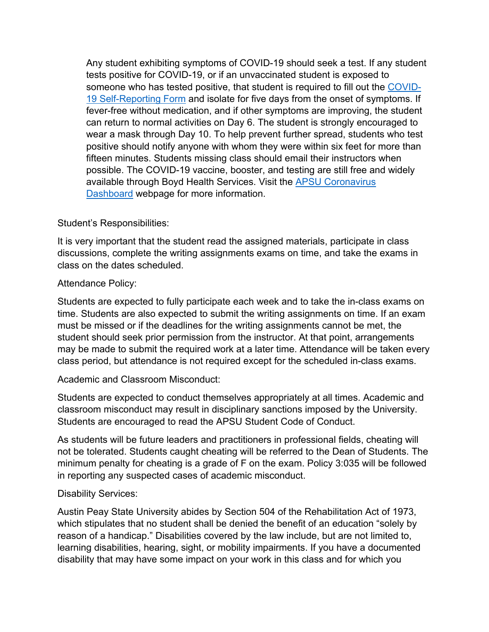Any student exhibiting symptoms of COVID-19 should seek a test. If any student tests positive for COVID-19, or if an unvaccinated student is exposed to someone who has tested positive, that student is required to fill out the [COVID-](https://cm.maxient.com/reportingform.php?AustinPeayStateUniv&layout_id=19)[19 Self-Reporting Form](https://cm.maxient.com/reportingform.php?AustinPeayStateUniv&layout_id=19) and isolate for five days from the onset of symptoms. If fever-free without medication, and if other symptoms are improving, the student can return to normal activities on Day 6. The student is strongly encouraged to wear a mask through Day 10. To help prevent further spread, students who test positive should notify anyone with whom they were within six feet for more than fifteen minutes. Students missing class should email their instructors when possible. The COVID-19 vaccine, booster, and testing are still free and widely available through Boyd Health Services. Visit the [APSU Coronavirus](https://apsu.edu/coronavirus/index.php)  [Dashboard](https://apsu.edu/coronavirus/index.php) webpage for more information.

#### Student's Responsibilities:

It is very important that the student read the assigned materials, participate in class discussions, complete the writing assignments exams on time, and take the exams in class on the dates scheduled.

#### Attendance Policy:

Students are expected to fully participate each week and to take the in-class exams on time. Students are also expected to submit the writing assignments on time. If an exam must be missed or if the deadlines for the writing assignments cannot be met, the student should seek prior permission from the instructor. At that point, arrangements may be made to submit the required work at a later time. Attendance will be taken every class period, but attendance is not required except for the scheduled in-class exams.

#### Academic and Classroom Misconduct:

Students are expected to conduct themselves appropriately at all times. Academic and classroom misconduct may result in disciplinary sanctions imposed by the University. Students are encouraged to read the APSU Student Code of Conduct.

As students will be future leaders and practitioners in professional fields, cheating will not be tolerated. Students caught cheating will be referred to the Dean of Students. The minimum penalty for cheating is a grade of F on the exam. Policy 3:035 will be followed in reporting any suspected cases of academic misconduct.

#### Disability Services:

Austin Peay State University abides by Section 504 of the Rehabilitation Act of 1973, which stipulates that no student shall be denied the benefit of an education "solely by reason of a handicap." Disabilities covered by the law include, but are not limited to, learning disabilities, hearing, sight, or mobility impairments. If you have a documented disability that may have some impact on your work in this class and for which you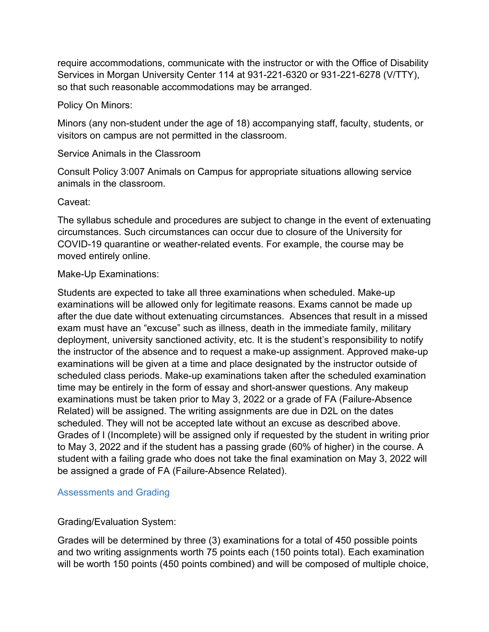require accommodations, communicate with the instructor or with the Office of Disability Services in Morgan University Center 114 at 931-221-6320 or 931-221-6278 (V/TTY), so that such reasonable accommodations may be arranged.

#### Policy On Minors:

Minors (any non-student under the age of 18) accompanying staff, faculty, students, or visitors on campus are not permitted in the classroom.

#### Service Animals in the Classroom

Consult Policy 3:007 Animals on Campus for appropriate situations allowing service animals in the classroom.

#### Caveat:

The syllabus schedule and procedures are subject to change in the event of extenuating circumstances. Such circumstances can occur due to closure of the University for COVID-19 quarantine or weather-related events. For example, the course may be moved entirely online.

#### Make-Up Examinations:

Students are expected to take all three examinations when scheduled. Make-up examinations will be allowed only for legitimate reasons. Exams cannot be made up after the due date without extenuating circumstances. Absences that result in a missed exam must have an "excuse" such as illness, death in the immediate family, military deployment, university sanctioned activity, etc. It is the student's responsibility to notify the instructor of the absence and to request a make-up assignment. Approved make-up examinations will be given at a time and place designated by the instructor outside of scheduled class periods. Make-up examinations taken after the scheduled examination time may be entirely in the form of essay and short-answer questions. Any makeup examinations must be taken prior to May 3, 2022 or a grade of FA (Failure-Absence Related) will be assigned. The writing assignments are due in D2L on the dates scheduled. They will not be accepted late without an excuse as described above. Grades of I (Incomplete) will be assigned only if requested by the student in writing prior to May 3, 2022 and if the student has a passing grade (60% of higher) in the course. A student with a failing grade who does not take the final examination on May 3, 2022 will be assigned a grade of FA (Failure-Absence Related).

#### Assessments and Grading

#### Grading/Evaluation System:

Grades will be determined by three (3) examinations for a total of 450 possible points and two writing assignments worth 75 points each (150 points total). Each examination will be worth 150 points (450 points combined) and will be composed of multiple choice,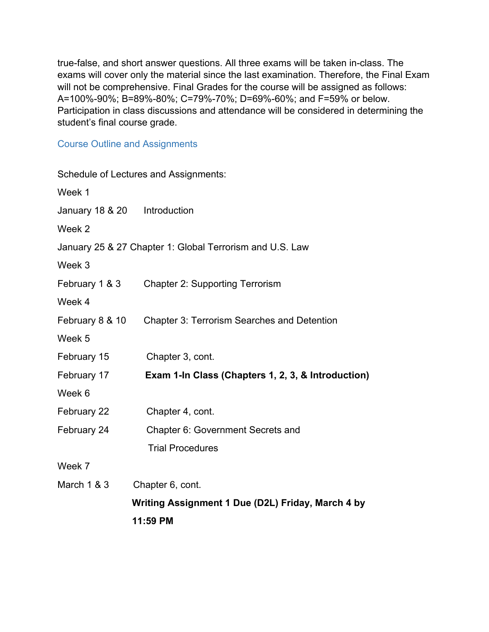true-false, and short answer questions. All three exams will be taken in-class. The exams will cover only the material since the last examination. Therefore, the Final Exam will not be comprehensive. Final Grades for the course will be assigned as follows: A=100%-90%; B=89%-80%; C=79%-70%; D=69%-60%; and F=59% or below. Participation in class discussions and attendance will be considered in determining the student's final course grade.

#### Course Outline and Assignments

| Schedule of Lectures and Assignments:                    |
|----------------------------------------------------------|
|                                                          |
| January 18 & 20    Introduction                          |
|                                                          |
| January 25 & 27 Chapter 1: Global Terrorism and U.S. Law |
|                                                          |
| <b>Chapter 2: Supporting Terrorism</b>                   |
|                                                          |
| <b>Chapter 3: Terrorism Searches and Detention</b>       |
|                                                          |
| Chapter 3, cont.                                         |
| Exam 1-In Class (Chapters 1, 2, 3, & Introduction)       |
|                                                          |
| Chapter 4, cont.                                         |
| Chapter 6: Government Secrets and                        |
| <b>Trial Procedures</b>                                  |
|                                                          |
| Chapter 6, cont.                                         |
| Writing Assignment 1 Due (D2L) Friday, March 4 by        |
| 11:59 PM                                                 |
|                                                          |